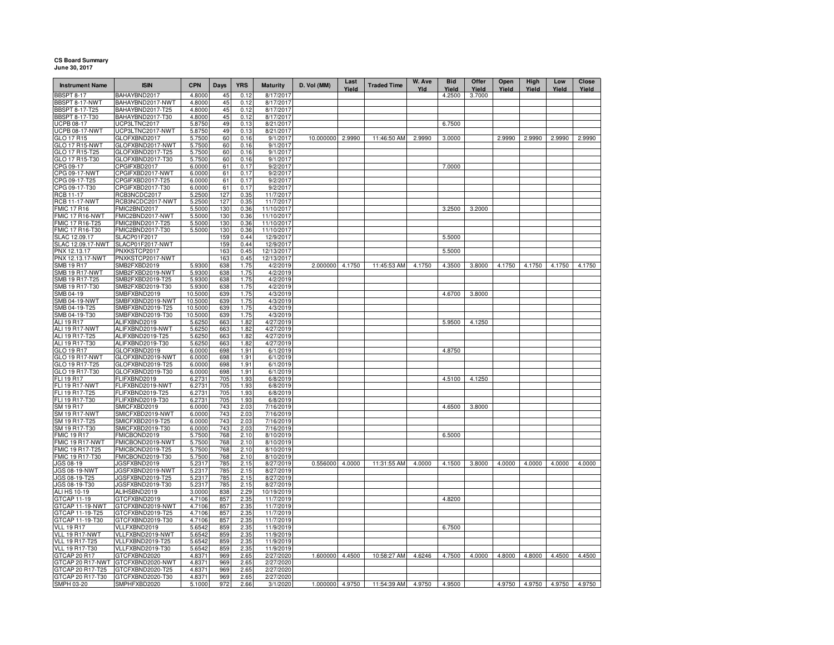## **CS Board SummaryJune 30, 2017**

| <b>Instrument Name</b>                | <b>ISIN</b>                          | <b>CPN</b>         | Days       | <b>YRS</b>   | <b>Maturity</b>          | D. Vol (MM)     | Last<br>Yield | <b>Traded Time</b> | W. Ave<br>Yld | <b>Bid</b><br>Yield | Offer<br>Yield | Open<br>Yield | High<br>Yield | Low<br>Yield | Close<br>Yield |
|---------------------------------------|--------------------------------------|--------------------|------------|--------------|--------------------------|-----------------|---------------|--------------------|---------------|---------------------|----------------|---------------|---------------|--------------|----------------|
| <b>BBSPT 8-17</b>                     | BAHAYBND2017                         | 4.8000             | 45         | 0.12         | 8/17/2017                |                 |               |                    |               | 4.2500              | 3.7000         |               |               |              |                |
| BBSPT 8-17-NWT                        | BAHAYBND2017-NWT                     | 4.8000             | 45         | 0.12         | 8/17/2017                |                 |               |                    |               |                     |                |               |               |              |                |
| <b>BBSPT 8-17-T25</b>                 | BAHAYBND2017-T25                     | 4.8000             | 45         | 0.12         | 8/17/2017                |                 |               |                    |               |                     |                |               |               |              |                |
| <b>BBSPT 8-17-T30</b>                 | BAHAYBND2017-T30                     | 4.8000             | 45         | 0.12         | 8/17/2017                |                 |               |                    |               |                     |                |               |               |              |                |
| <b>UCPB 08-17</b>                     | UCP3LTNC2017                         | 5.8750             | 49         | 0.13         | 8/21/2017                |                 |               |                    |               | 6.7500              |                |               |               |              |                |
| <b>UCPB 08-17-NWT</b><br>GLO 17 R15   | UCP3LTNC2017-NWT<br>GLOFXBND2017     | 5.8750<br>5.7500   | 49<br>60   | 0.13<br>0.16 | 8/21/2017<br>9/1/2017    | 10.000000       | 2.9990        | 11:46:50 AM        | 2.9990        | 3.0000              |                | 2.9990        | 2.9990        | 2.9990       | 2.9990         |
| <b>GLO 17 R15-NWT</b>                 | GLOFXBND2017-NWT                     | 5.7500             | 60         | 0.16         | 9/1/2017                 |                 |               |                    |               |                     |                |               |               |              |                |
| GLO 17 R15-T25                        | GLOFXBND2017-T25                     | 5.7500             | 60         | 0.16         | 9/1/2017                 |                 |               |                    |               |                     |                |               |               |              |                |
|                                       | GLOFXBND2017-T30                     | 5.7500             | 60         | 0.16         | 9/1/2017                 |                 |               |                    |               |                     |                |               |               |              |                |
| GLO 17 R15-T30<br>CPG 09-17           | CPGIFXBD2017                         | 6.0000             | 61         | 0.17         | 9/2/2017                 |                 |               |                    |               | 7.0000              |                |               |               |              |                |
| CPG 09-17-NWT                         | CPGIFXBD2017-NWT                     | 6.0000             | 61         | 0.17         | 9/2/2017                 |                 |               |                    |               |                     |                |               |               |              |                |
| CPG 09-17-T25<br>CPG 09-17-T30        | CPGIFXBD2017-T25                     | 6.0000             | 61         | 0.17         | 9/2/2017                 |                 |               |                    |               |                     |                |               |               |              |                |
|                                       | CPGIFXBD2017-T30                     | 6.0000             | 61         | 0.17         | 9/2/2017                 |                 |               |                    |               |                     |                |               |               |              |                |
| RCB 11-17                             | RCB3NCDC2017                         | 5.2500             | 127        | 0.35         | 11/7/2017                |                 |               |                    |               |                     |                |               |               |              |                |
| <b>RCB 11-17-NWT</b>                  | RCB3NCDC2017-NWT                     | 5.2500             | 127        | 0.35         | 11/7/2017                |                 |               |                    |               |                     |                |               |               |              |                |
| <b>FMIC 17 R16</b><br>FMIC 17 R16-NWT | FMIC2BND2017<br>FMIC2BND2017-NWT     | 5.5000<br>5.5000   | 130<br>130 | 0.36<br>0.36 | 11/10/2017<br>11/10/2017 |                 |               |                    |               | 3.2500              | 3.2000         |               |               |              |                |
| FMIC 17 R16-T25                       | FMIC2BND2017-T25                     | 5.5000             | 130        | 0.36         | 11/10/2017               |                 |               |                    |               |                     |                |               |               |              |                |
| FMIC 17 R16-T30                       | FMIC2BND2017-T30                     | 5.5000             | 130        | 0.36         | 11/10/2017               |                 |               |                    |               |                     |                |               |               |              |                |
| SLAC 12.09.17                         | SLACP01F2017                         |                    | 159        | 0.44         | 12/9/2017                |                 |               |                    |               | 5.5000              |                |               |               |              |                |
| SLAC 12.09.17-NWT                     | SLACP01F2017-NWT                     |                    | 159        | 0.44         | 12/9/2017                |                 |               |                    |               |                     |                |               |               |              |                |
| PNX 12.13.17                          | PNXKSTCP2017                         |                    | 163        | 0.45         | 12/13/2017               |                 |               |                    |               | 5.5000              |                |               |               |              |                |
| PNX 12.13.17-NWT                      | PNXKSTCP2017-NWT                     |                    | 163        | 0.45         | 12/13/2017               |                 |               |                    |               |                     |                |               |               |              |                |
| SMB 19 R17                            | SMB2FXBD2019                         | 5.9300             | 638        | 1.75         | 4/2/2019                 | 2.000000        | 4.1750        | 11:45:53 AM        | 4.1750        | 4.3500              | 3.8000         | 4.1750        | 4.1750        | 4.1750       | 4.1750         |
| <b>SMB 19 R17-NWT</b>                 | SMB2FXBD2019-NWT                     | 5.9300             | 638        | 1.75         | 4/2/2019                 |                 |               |                    |               |                     |                |               |               |              |                |
| SMB 19 R17-T25                        | SMB2FXBD2019-T25                     | 5.9300             | 638        | 1.75         | 4/2/2019                 |                 |               |                    |               |                     |                |               |               |              |                |
| SMB 19 R17-T30                        | SMB2FXBD2019-T30                     | 5.9300             | 638        | 1.75         | 4/2/2019                 |                 |               |                    |               |                     |                |               |               |              |                |
| SMB 04-19<br>SMB 04-19-NWT            | SMBFXBND2019<br>SMBFXBND2019-NWT     | 10.5000<br>10.5000 | 639<br>639 | 1.75<br>1.75 | 4/3/2019<br>4/3/2019     |                 |               |                    |               | 4.6700              | 3.8000         |               |               |              |                |
| SMB 04-19-T25                         | SMBFXBND2019-T25                     | 10.5000            | 639        | 1.75         | 4/3/2019                 |                 |               |                    |               |                     |                |               |               |              |                |
| SMB 04-19-T30                         | SMBFXBND2019-T30                     | 10.5000            | 639        | 1.75         | 4/3/2019                 |                 |               |                    |               |                     |                |               |               |              |                |
| ALI 19 R17                            | ALIFXBND2019                         | 5.6250             | 663        | 1.82         | 4/27/2019                |                 |               |                    |               | 5.9500              | 4.1250         |               |               |              |                |
| ALI 19 R17-NWT                        | ALIFXBND2019-NWT                     | 5.6250             | 663        | 1.82         | 4/27/2019                |                 |               |                    |               |                     |                |               |               |              |                |
| ALI 19 R17-T25                        | ALIFXBND2019-T25                     | 5.6250             | 663        | 1.82         | 4/27/2019                |                 |               |                    |               |                     |                |               |               |              |                |
| ALI 19 R17-T30                        | ALIFXBND2019-T30                     | 5.6250             | 663        | 1.82         | 4/27/2019                |                 |               |                    |               |                     |                |               |               |              |                |
| GLO 19 R17                            | GLOFXBND2019                         | 6.0000             | 698        | 1.91         | 6/1/2019                 |                 |               |                    |               | 4.8750              |                |               |               |              |                |
| GLO 19 R17-NWT                        | GLOFXBND2019-NWT                     | 6.0000             | 698        | 1.91         | 6/1/2019                 |                 |               |                    |               |                     |                |               |               |              |                |
| GLO 19 R17-T25<br>GLO 19 R17-T30      | GLOFXBND2019-T25                     | 6.0000             | 698        | 1.91<br>1.91 | 6/1/2019                 |                 |               |                    |               |                     |                |               |               |              |                |
| FLI 19 R17                            | GLOFXBND2019-T30<br>FLIFXBND2019     | 6.0000<br>6.2731   | 698<br>705 | 1.93         | 6/1/2019<br>6/8/2019     |                 |               |                    |               | 4.5100              | 4.1250         |               |               |              |                |
| FLI 19 R17-NWT                        | FLIFXBND2019-NWT                     | 6.2731             | 705        | 1.93         | 6/8/2019                 |                 |               |                    |               |                     |                |               |               |              |                |
| FLI 19 R17-T25                        | FLIFXBND2019-T25                     | 6.2731             | 705        | 1.93         | 6/8/2019                 |                 |               |                    |               |                     |                |               |               |              |                |
| FLI 19 R17-T30                        | FLIFXBND2019-T30                     | 6.2731             | 705        | 1.93         | 6/8/2019                 |                 |               |                    |               |                     |                |               |               |              |                |
| SM 19 R17                             | SMICFXBD2019                         | 6.0000             | 743        | 2.03         | 7/16/2019                |                 |               |                    |               | 4.6500              | 3.8000         |               |               |              |                |
| <b>SM 19 R17-NWT</b>                  | SMICFXBD2019-NWT                     | 6.0000             | 743        | 2.03         | 7/16/2019                |                 |               |                    |               |                     |                |               |               |              |                |
| SM 19 R17-T25                         | SMICFXBD2019-T25                     | 6.0000             | 743        | 2.03         | 7/16/2019                |                 |               |                    |               |                     |                |               |               |              |                |
| SM 19 R17-T30                         | SMICFXBD2019-T30                     | 6.0000             | 743        | 2.03         | 7/16/2019                |                 |               |                    |               |                     |                |               |               |              |                |
| MIC 19 R17<br><b>FMIC 19 R17-NWT</b>  | FMICBOND2019<br>FMICBOND2019-NWT     | 5.7500<br>5.7500   | 768<br>768 | 2.10<br>2.10 | 8/10/2019<br>8/10/2019   |                 |               |                    |               | 6.5000              |                |               |               |              |                |
| MIC 19 R17-T25                        | FMICBOND2019-T25                     | 5.7500             | 768        | 2.10         | 8/10/2019                |                 |               |                    |               |                     |                |               |               |              |                |
| FMIC 19 R17-T30                       | FMICBOND2019-T30                     | 5.7500             | 768        | 2.10         | 8/10/2019                |                 |               |                    |               |                     |                |               |               |              |                |
| JGS 08-19                             | JGSFXBND2019                         | 5.2317             | 785        | 2.15         | 8/27/2019                | 0.556000        | 4.0000        | 11:31:55 AM        | 4.0000        | 4.1500              | 3.8000         | 4.0000        | 4.0000        | 4.0000       | 4.0000         |
| JGS 08-19-NWT                         | JGSFXBND2019-NWT                     | 5.2317             | 785        | 2.15         | 8/27/2019                |                 |               |                    |               |                     |                |               |               |              |                |
| JGS 08-19-T25                         | JGSFXBND2019-T25                     | 5.2317             | 785        | 2.15         | 8/27/2019                |                 |               |                    |               |                     |                |               |               |              |                |
| JGS 08-19-T30                         | JGSFXBND2019-T30                     | 5.2317             | 785        | 2.15         | 8/27/2019                |                 |               |                    |               |                     |                |               |               |              |                |
| ALI HS 10-19                          | ALIHSBND2019                         | 3.0000             | 838        | 2.29         | 10/19/2019               |                 |               |                    |               |                     |                |               |               |              |                |
| GTCAP 11-19                           | GTCFXBND2019                         | 4.7106             | 857        | 2.35         | 11/7/2019                |                 |               |                    |               | 4.8200              |                |               |               |              |                |
| GTCAP 11-19-NWT                       | GTCFXBND2019-NWT                     | 4.7106             | 857        | 2.35         | 11/7/2019                |                 |               |                    |               |                     |                |               |               |              |                |
| GTCAP 11-19-T25<br>GTCAP 11-19-T30    | GTCFXBND2019-T25<br>GTCFXBND2019-T30 | 4.7106<br>4.7106   | 857<br>857 | 2.35<br>2.35 | 11/7/2019<br>11/7/2019   |                 |               |                    |               |                     |                |               |               |              |                |
| <b>VLL 19 R17</b>                     | VLLFXBND2019                         | 5.6542             | 859        | 2.35         | 11/9/2019                |                 |               |                    |               | 6.7500              |                |               |               |              |                |
| VLL 19 R17-NWT                        | VLLFXBND2019-NWT                     | 5.6542             | 859        | 2.35         | 11/9/2019                |                 |               |                    |               |                     |                |               |               |              |                |
| VLL 19 R17-T25                        | VLLFXBND2019-T25                     | 5.6542             | 859        | 2.35         | 11/9/2019                |                 |               |                    |               |                     |                |               |               |              |                |
| <b>VLL 19 R17-T30</b>                 | VLLFXBND2019-T30                     | 5.6542             | 859        | 2.35         | 11/9/2019                |                 |               |                    |               |                     |                |               |               |              |                |
| GTCAP 20 R17                          | GTCFXBND2020                         | 4.8371             | 969        | 2.65         | 2/27/2020                | 1.600000 4.4500 |               | 10:58:27 AM        | 4.6246        | 4.7500              | 4.0000         | 4.8000        | 4.8000        | 4.4500       | 4.4500         |
| GTCAP 20 R17-NWT                      | GTCFXBND2020-NWT                     | 4.8371             | 969        | 2.65         | 2/27/2020                |                 |               |                    |               |                     |                |               |               |              |                |
| GTCAP 20 R17-T25                      | GTCFXBND2020-T25                     | 4.8371             | 969        | 2.65         | 2/27/2020                |                 |               |                    |               |                     |                |               |               |              |                |
| GTCAP 20 R17-T30                      | GTCFXBND2020-T30                     | 4.8371             | 969        | 2.65         | 2/27/2020                |                 |               |                    |               |                     |                |               |               |              |                |
| SMPH 03-20                            | SMPHFXBD2020                         | 5.1000             | 972        | 2.66         | 3/1/2020                 | 1.000000 4.9750 |               | 11:54:39 AM        | 4.9750        | 4.9500              |                | 4.9750        | 4.9750        | 4.9750       | 4.9750         |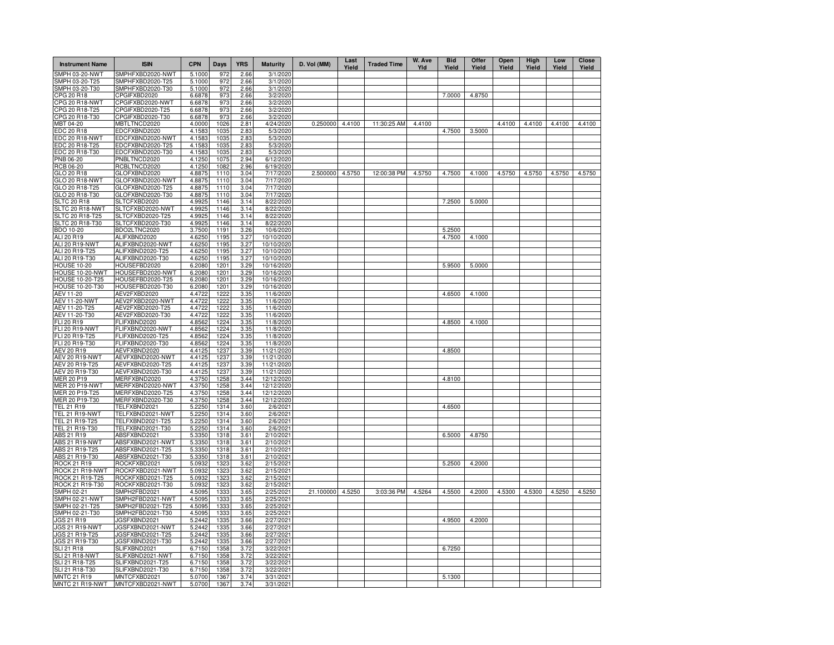| <b>Instrument Name</b>             | <b>ISIN</b>                          | <b>CPN</b>       | Days         | <b>YRS</b>   | <b>Maturity</b>          | D. Vol (MM) | Last<br>Yield | <b>Traded Time</b> | W. Ave<br>Yld | <b>Bid</b><br>Yield | Offer<br>Yield | Open<br>Yield | High<br>Yield | Low<br>Yield | <b>Close</b><br>Yield |
|------------------------------------|--------------------------------------|------------------|--------------|--------------|--------------------------|-------------|---------------|--------------------|---------------|---------------------|----------------|---------------|---------------|--------------|-----------------------|
| SMPH 03-20-NWT                     | SMPHFXBD2020-NWT                     | 5.1000           | 972          | 2.66         | 3/1/2020                 |             |               |                    |               |                     |                |               |               |              |                       |
| SMPH 03-20-T25                     | SMPHFXBD2020-T25                     | 5.1000           | 972          | 2.66         | 3/1/2020                 |             |               |                    |               |                     |                |               |               |              |                       |
| SMPH 03-20-T30                     | SMPHFXBD2020-T30                     | 5.1000           | 972          | 2.66         | 3/1/2020                 |             |               |                    |               |                     |                |               |               |              |                       |
| CPG 20 R18                         | CPGIFXBD2020                         | 6.6878           | 973          | 2.66         | 3/2/2020                 |             |               |                    |               | 7.0000              | 4.8750         |               |               |              |                       |
| CPG 20 R18-NWT                     | CPGIFXBD2020-NWT                     | 6.6878           | 973          | 2.66         | 3/2/2020                 |             |               |                    |               |                     |                |               |               |              |                       |
| CPG 20 R18-T25                     | CPGIFXBD2020-T25                     | 6.6878           | 973          | 2.66         | 3/2/2020                 |             |               |                    |               |                     |                |               |               |              |                       |
| CPG 20 R18-T30<br>MBT 04-20        | CPGIFXBD2020-T30                     | 6.6878           | 973<br>1026  | 2.66         | 3/2/2020<br>4/24/2020    | 0.250000    | 4.4100        | 11:30:25 AM        | 4.4100        |                     |                | 4.4100        |               | 4.4100       | 4.4100                |
| <b>EDC 20 R18</b>                  | MBTLTNCD2020<br>EDCFXBND2020         | 4.0000<br>4.1583 | 1035         | 2.81<br>2.83 | 5/3/2020                 |             |               |                    |               | 4.7500              | 3.5000         |               | 4.4100        |              |                       |
| EDC 20 R18-NWT                     | EDCFXBND2020-NWT                     | 4.1583           | 1035         | 2.83         | 5/3/2020                 |             |               |                    |               |                     |                |               |               |              |                       |
| EDC 20 R18-T25                     | EDCFXBND2020-T25                     | 4.1583           | 1035         | 2.83         | 5/3/2020                 |             |               |                    |               |                     |                |               |               |              |                       |
| EDC 20 R18-T30                     | EDCFXBND2020-T30                     | 4.1583           | 1035         | 2.83         | 5/3/2020                 |             |               |                    |               |                     |                |               |               |              |                       |
| <b>PNB 06-20</b>                   | PNBLTNCD2020                         | 4.1250           | 1075         | 2.94         | 6/12/2020                |             |               |                    |               |                     |                |               |               |              |                       |
| <b>RCB 06-20</b>                   | RCBLTNCD2020                         | 4.1250           | 1082         | 2.96         | 6/19/2020                |             |               |                    |               |                     |                |               |               |              |                       |
| GLO 20 R18                         | GLOFXBND2020                         | 4.8875           | 1110         | 3.04         | 7/17/2020                | 2.500000    | 4.5750        | 12:00:38 PM        | 4.5750        | 4.7500              | 4.1000         | 4.5750        | 4.5750        | 4.5750       | 4.5750                |
| GLO 20 R18-NWT                     | GLOFXBND2020-NWT                     | 4.8875           | 1110         | 3.04         | 7/17/2020                |             |               |                    |               |                     |                |               |               |              |                       |
| GLO 20 R18-T25                     | GLOFXBND2020-T25                     | 4.8875           | 1110         | 3.04         | 7/17/2020                |             |               |                    |               |                     |                |               |               |              |                       |
| GLO 20 R18-T30                     | GLOFXBND2020-T30                     | 4.8875           | 1110         | 3.04         | 7/17/2020                |             |               |                    |               |                     |                |               |               |              |                       |
| <b>SLTC 20 R18</b>                 | SLTCFXBD2020                         | 4.9925           | 1146         | 3.14         | 8/22/2020                |             |               |                    |               | 7.2500              | 5.0000         |               |               |              |                       |
| SLTC 20 R18-NWT                    | SLTCFXBD2020-NWT                     | 4.9925           | 1146         | 3.14         | 8/22/2020                |             |               |                    |               |                     |                |               |               |              |                       |
| SLTC 20 R18-T25                    | SLTCFXBD2020-T25                     | 4.9925           | 1146         | 3.14         | 8/22/2020                |             |               |                    |               |                     |                |               |               |              |                       |
| SLTC 20 R18-T30                    | SLTCFXBD2020-T30                     | 4.9925           | 1146         | 3.14         | 8/22/2020                |             |               |                    |               |                     |                |               |               |              |                       |
| <b>BDO 10-20</b>                   | BDO2LTNC2020                         | 3.7500           | 1191         | 3.26         | 10/6/2020                |             |               |                    |               | 5.2500              |                |               |               |              |                       |
| ALI 20 R19                         | ALIFXBND2020                         | 4.6250           | 1195         | 3.27         | 10/10/2020               |             |               |                    |               | 4.7500              | 4.1000         |               |               |              |                       |
| ALI 20 R19-NWT                     | ALIFXBND2020-NWT                     | 4.6250           | 1195         | 3.27         | 10/10/2020               |             |               |                    |               |                     |                |               |               |              |                       |
| ALI 20 R19-T25                     | ALIFXBND2020-T25                     | 4.6250           | 1195         | 3.27         | 10/10/2020               |             |               |                    |               |                     |                |               |               |              |                       |
| ALI 20 R19-T30                     | ALIFXBND2020-T30                     | 4.6250           | 1195         | 3.27         | 10/10/2020               |             |               |                    |               |                     |                |               |               |              |                       |
| <b>HOUSE 10-20</b>                 | HOUSEFBD2020                         | 6.2080           | 1201<br>1201 | 3.29         | 10/16/2020               |             |               |                    |               | 5.9500              | 5.0000         |               |               |              |                       |
| HOUSE 10-20-NWT<br>HOUSE 10-20-T25 | HOUSEFBD2020-NWT<br>HOUSEFBD2020-T25 | 6.2080<br>6.2080 | 1201         | 3.29<br>3.29 | 10/16/2020<br>10/16/2020 |             |               |                    |               |                     |                |               |               |              |                       |
| HOUSE 10-20-T30                    | HOUSEFBD2020-T30                     | 6.2080           | 1201         | 3.29         | 10/16/2020               |             |               |                    |               |                     |                |               |               |              |                       |
| AEV 11-20                          | AEV2FXBD2020                         | 4.4722           | 1222         | 3.35         | 11/6/2020                |             |               |                    |               | 4.6500              | 4.1000         |               |               |              |                       |
| <b>AEV 11-20-NWT</b>               | AEV2FXBD2020-NWT                     | 4.4722           | 1222         | 3.35         | 11/6/2020                |             |               |                    |               |                     |                |               |               |              |                       |
| AEV 11-20-T25                      | AEV2FXBD2020-T25                     | 4.4722           | 1222         | 3.35         | 11/6/2020                |             |               |                    |               |                     |                |               |               |              |                       |
| AEV 11-20-T30                      | AEV2FXBD2020-T30                     | 4.4722           | 1222         | 3.35         | 11/6/2020                |             |               |                    |               |                     |                |               |               |              |                       |
| FLI 20 R19                         | FLIFXBND2020                         | 4.8562           | 1224         | 3.35         | 11/8/2020                |             |               |                    |               | 4.8500              | 4.1000         |               |               |              |                       |
| <b>FLI 20 R19-NWT</b>              | FLIFXBND2020-NWT                     | 4.8562           | 1224         | 3.35         | 11/8/2020                |             |               |                    |               |                     |                |               |               |              |                       |
| FLI 20 R19-T25                     | FLIFXBND2020-T25                     | 4.8562           | 1224         | 3.35         | 11/8/2020                |             |               |                    |               |                     |                |               |               |              |                       |
| FLI 20 R19-T30                     | FLIFXBND2020-T30                     | 4.8562           | 1224         | 3.35         | 11/8/2020                |             |               |                    |               |                     |                |               |               |              |                       |
| AEV 20 R19                         | AEVFXBND2020                         | 4.4125           | 1237         | 3.39         | 11/21/2020               |             |               |                    |               | 4.8500              |                |               |               |              |                       |
| <b>AEV 20 R19-NWT</b>              | AEVFXBND2020-NWT                     | 4.4125           | 1237         | 3.39         | 11/21/2020               |             |               |                    |               |                     |                |               |               |              |                       |
| AEV 20 R19-T25                     | AEVFXBND2020-T25                     | 4.4125           | 1237         | 3.39         | 11/21/2020               |             |               |                    |               |                     |                |               |               |              |                       |
| AEV 20 R19-T30                     | AEVFXBND2020-T30                     | 4.4125           | 1237         | 3.39         | 11/21/2020               |             |               |                    |               |                     |                |               |               |              |                       |
| <b>MER 20 P19</b>                  | MERFXBND2020                         | 4.3750           | 1258         | 3.44         | 12/12/2020               |             |               |                    |               | 4.8100              |                |               |               |              |                       |
| MER 20 P19-NWT                     | MERFXBND2020-NWT                     | 4.3750           | 1258         | 3.44         | 12/12/2020               |             |               |                    |               |                     |                |               |               |              |                       |
| MER 20 P19-T25<br>MER 20 P19-T30   | MERFXBND2020-T25<br>MERFXBND2020-T30 | 4.3750<br>4.3750 | 1258<br>1258 | 3.44<br>3.44 | 12/12/2020<br>12/12/2020 |             |               |                    |               |                     |                |               |               |              |                       |
| TEL 21 R19                         | TELFXBND2021                         | 5.2250           | 1314         | 3.60         | 2/6/2021                 |             |               |                    |               | 4.6500              |                |               |               |              |                       |
| TEL 21 R19-NWT                     | TELFXBND2021-NWT                     | 5.2250           | 1314         | 3.60         | 2/6/2021                 |             |               |                    |               |                     |                |               |               |              |                       |
| TEL 21 R19-T25                     | TELFXBND2021-T25                     | 5.2250           | 1314         | 3.60         | 2/6/2021                 |             |               |                    |               |                     |                |               |               |              |                       |
| TEL 21 R19-T30                     | TELFXBND2021-T30                     | 5.2250           | 1314         | 3.60         | 2/6/2021                 |             |               |                    |               |                     |                |               |               |              |                       |
| ABS 21 R19                         | ABSFXBND2021                         | 5.3350           | 1318         | 3.61         | 2/10/2021                |             |               |                    |               | 6.5000              | 4.8750         |               |               |              |                       |
| <b>ABS 21 R19-NWT</b>              | ABSFXBND2021-NWT                     | 5.3350           | 1318         | 3.61         | 2/10/2021                |             |               |                    |               |                     |                |               |               |              |                       |
| ABS 21 R19-T25                     | ABSFXBND2021-T25                     | 5.3350           | 1318         | 3.61         | 2/10/2021                |             |               |                    |               |                     |                |               |               |              |                       |
| ABS 21 R19-T30                     | ABSFXBND2021-T30                     | 5.3350           | 1318         | 3.61         | 2/10/2021                |             |               |                    |               |                     |                |               |               |              |                       |
| <b>ROCK 21 R19</b>                 | ROCKFXBD2021                         | 5.0932           | 1323         | 3.62         | 2/15/2021                |             |               |                    |               | 5.2500              | 4.2000         |               |               |              |                       |
| ROCK 21 R19-NWT                    | ROCKFXBD2021-NWT                     | 5.0932           | 1323         | 3.62         | 2/15/2021                |             |               |                    |               |                     |                |               |               |              |                       |
| ROCK 21 R19-T25                    | ROCKFXBD2021-T25                     | 5.0932           | 1323         | 3.62         | 2/15/2021                |             |               |                    |               |                     |                |               |               |              |                       |
| ROCK 21 R19-T30                    | ROCKFXBD2021-T30                     | 5.0932           | 1323         | 3.62         | 2/15/2021                |             |               |                    |               |                     |                |               |               |              |                       |
| SMPH 02-21                         | SMPH2FBD2021                         | 4.5095           | 1333         | 3.65         | 2/25/2021                | 21.100000   | 4.5250        | 3:03:36 PM         | 4.5264        | 4.5500              | 4.2000         | 4.5300        | 4.5300        | 4.5250       | 4.5250                |
| <b>SMPH 02-21-NWT</b>              | SMPH2FBD2021-NWT                     | 4.5095           | 1333         | 3.65         | 2/25/2021                |             |               |                    |               |                     |                |               |               |              |                       |
| SMPH 02-21-T25                     | SMPH2FBD2021-T25                     | 4.5095           | 1333         | 3.65         | 2/25/2021                |             |               |                    |               |                     |                |               |               |              |                       |
| SMPH 02-21-T30<br>JGS 21 R19       | SMPH2FBD2021-T30<br>JGSFXBND2021     | 4.5095<br>5.2442 | 1333<br>1335 | 3.65<br>3.66 | 2/25/2021<br>2/27/2021   |             |               |                    |               | 4.9500              | 4.2000         |               |               |              |                       |
| JGS 21 R19-NWT                     | JGSFXBND2021-NWT                     | 5.2442           | 1335         | 3.66         | 2/27/2021                |             |               |                    |               |                     |                |               |               |              |                       |
| JGS 21 R19-T25                     | JGSFXBND2021-T25                     | 5.2442           | 1335         | 3.66         | 2/27/2021                |             |               |                    |               |                     |                |               |               |              |                       |
| JGS 21 R19-T30                     | JGSFXBND2021-T30                     | 5.2442           | 1335         | 3.66         | 2/27/2021                |             |               |                    |               |                     |                |               |               |              |                       |
| SLI 21 R18                         | SLIFXBND2021                         | 6.7150           | 1358         | 3.72         | 3/22/2021                |             |               |                    |               | 6.7250              |                |               |               |              |                       |
| SLI 21 R18-NWT                     | SLIFXBND2021-NWT                     | 6.7150           | 1358         | 3.72         | 3/22/2021                |             |               |                    |               |                     |                |               |               |              |                       |
| SLI 21 R18-T25                     | SLIFXBND2021-T25                     | 6.7150           | 1358         | 3.72         | 3/22/2021                |             |               |                    |               |                     |                |               |               |              |                       |
| SLI 21 R18-T30                     | SLIFXBND2021-T30                     | 6.7150           | 1358         | 3.72         | 3/22/2021                |             |               |                    |               |                     |                |               |               |              |                       |
| <b>MNTC 21 R19</b>                 | MNTCFXBD2021                         | 5.0700           | 1367         | 3.74         | 3/31/2021                |             |               |                    |               | 5.1300              |                |               |               |              |                       |
| MNTC 21 R19-NWT                    | MNTCFXBD2021-NWT                     | 5.0700           | 1367         | 3.74         | 3/31/2021                |             |               |                    |               |                     |                |               |               |              |                       |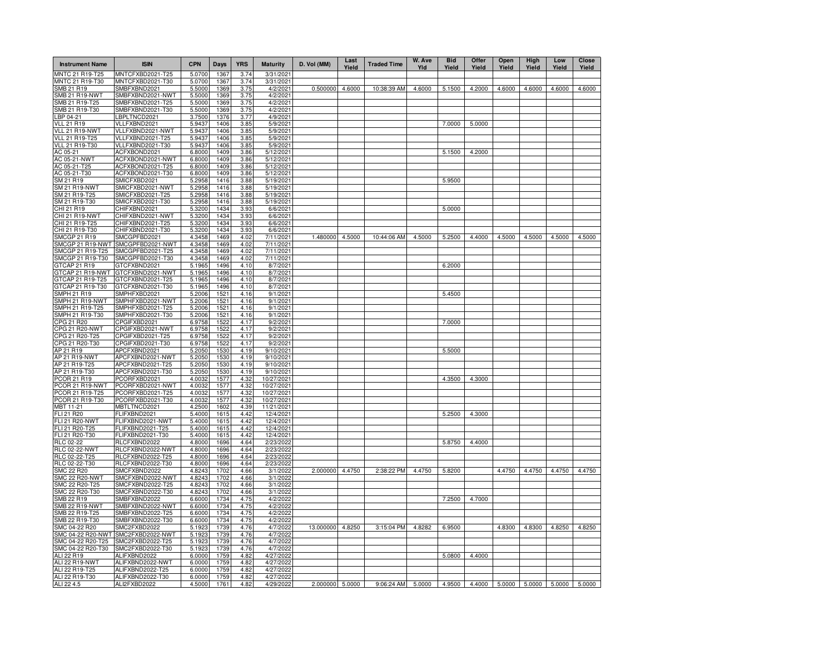| <b>Instrument Name</b>                 | <b>ISIN</b>                          | <b>CPN</b>       | Days         | <b>YRS</b>   | <b>Maturity</b>        | D. Vol (MM)     | Last<br>Yield | <b>Traded Time</b> | W. Ave<br>Yld | <b>Bid</b><br>Yield                                          | Offer<br>Yield | Open<br>Yield | High<br>Yield | Low<br>Yield | Close<br>Yield |
|----------------------------------------|--------------------------------------|------------------|--------------|--------------|------------------------|-----------------|---------------|--------------------|---------------|--------------------------------------------------------------|----------------|---------------|---------------|--------------|----------------|
| MNTC 21 R19-T25                        | MNTCFXBD2021-T25                     | 5.0700           | 1367         | 3.74         | 3/31/2021              |                 |               |                    |               |                                                              |                |               |               |              |                |
| MNTC 21 R19-T30                        | MNTCFXBD2021-T30                     | 5.0700           | 1367         | 3.74         | 3/31/2021              |                 |               |                    |               |                                                              |                |               |               |              |                |
| SMB 21 R19                             | SMBFXBND2021                         | 5.5000           | 1369         | 3.75         | 4/2/2021               | 0.500000        | 4.6000        | 10:38:39 AM        | 4.6000        | 5.1500                                                       | 4.2000         | 4.6000        | 4.6000        | 4.6000       | 4.6000         |
| <b>SMB 21 R19-NWT</b>                  | SMBFXBND2021-NWT                     | 5.5000           | 1369         | 3.75         | 4/2/2021               |                 |               |                    |               |                                                              |                |               |               |              |                |
| SMB 21 R19-T25<br>SMB 21 R19-T30       | SMBFXBND2021-T25<br>SMBFXBND2021-T30 | 5.5000           | 1369         | 3.75         | 4/2/2021               |                 |               |                    |               |                                                              |                |               |               |              |                |
| LBP 04-21                              | LBPLTNCD2021                         | 5.5000<br>3.7500 | 1369<br>1376 | 3.75<br>3.77 | 4/2/2021<br>4/9/2021   |                 |               |                    |               |                                                              |                |               |               |              |                |
| <b>VLL 21 R19</b>                      | VLLFXBND2021                         | 5.9437           | 1406         | 3.85         | 5/9/2021               |                 |               |                    |               | 7.0000                                                       | 5.0000         |               |               |              |                |
| VLL 21 R19-NWT                         | VLLFXBND2021-NWT                     | 5.9437           | 1406         | 3.85         | 5/9/2021               |                 |               |                    |               |                                                              |                |               |               |              |                |
| VLL 21 R19-T25                         | VLLFXBND2021-T25                     | 5.9437           | 1406         | 3.85         | 5/9/2021               |                 |               |                    |               |                                                              |                |               |               |              |                |
| VLL 21 R19-T30                         | VLLFXBND2021-T30                     | 5.9437           | 1406         | 3.85         | 5/9/2021               |                 |               |                    |               |                                                              |                |               |               |              |                |
| AC 05-21                               | ACFXBOND2021                         | 6.8000           | 1409         | 3.86         | 5/12/2021              |                 |               |                    |               | 5.1500                                                       | 4.2000         |               |               |              |                |
| AC 05-21-NWT                           | ACFXBOND2021-NWT                     | 6.8000           | 1409         | 3.86         | 5/12/2021              |                 |               |                    |               |                                                              |                |               |               |              |                |
| AC 05-21-T25                           | ACFXBOND2021-T25                     | 6.8000           | 1409         | 3.86         | 5/12/2021              |                 |               |                    |               |                                                              |                |               |               |              |                |
| AC 05-21-T30                           | ACFXBOND2021-T30                     | 6.8000           | 1409         | 3.86         | 5/12/2021              |                 |               |                    |               |                                                              |                |               |               |              |                |
| SM 21 R19                              | SMICFXBD2021                         | 5.2958           | 1416         | 3.88         | 5/19/2021              |                 |               |                    |               | 5.9500                                                       |                |               |               |              |                |
| SM 21 R19-NWT                          | SMICFXBD2021-NWT                     | 5.2958           | 1416         | 3.88         | 5/19/2021              |                 |               |                    |               |                                                              |                |               |               |              |                |
| SM 21 R19-T25                          | SMICFXBD2021-T25                     | 5.2958           | 1416         | 3.88         | 5/19/2021              |                 |               |                    |               |                                                              |                |               |               |              |                |
| SM 21 R19-T30                          | SMICFXBD2021-T30                     | 5.2958           | 1416         | 3.88         | 5/19/2021              |                 |               |                    |               |                                                              |                |               |               |              |                |
| CHI 21 R19                             | CHIFXBND2021                         | 5.3200           | 1434         | 3.93         | 6/6/2021               |                 |               |                    |               | 5.0000                                                       |                |               |               |              |                |
| CHI 21 R19-NWT<br>CHI 21 R19-T25       | CHIFXBND2021-NWT<br>CHIFXBND2021-T25 | 5.3200<br>5.3200 | 1434<br>1434 | 3.93<br>3.93 | 6/6/2021<br>6/6/2021   |                 |               |                    |               |                                                              |                |               |               |              |                |
| CHI 21 R19-T30                         | CHIFXBND2021-T30                     | 5.3200           | 1434         | 3.93         | 6/6/2021               |                 |               |                    |               |                                                              |                |               |               |              |                |
| <b>SMCGP 21 R19</b>                    | SMCGPFBD2021                         | 4.3458           | 1469         | 4.02         | 7/11/2021              | 1.480000        | 4.5000        | 10:44:06 AM        | 4.5000        | 5.2500                                                       | 4.4000         | 4.5000        | 4.5000        | 4.5000       | 4.5000         |
| SMCGP 21 R19-NWT                       | SMCGPFBD2021-NWT                     | 4.3458           | 1469         | 4.02         | 7/11/2021              |                 |               |                    |               |                                                              |                |               |               |              |                |
| SMCGP 21 R19-T25                       | SMCGPFBD2021-T25                     | 4.3458           | 1469         | 4.02         | 7/11/2021              |                 |               |                    |               |                                                              |                |               |               |              |                |
| SMCGP 21 R19-T30                       | SMCGPFBD2021-T30                     | 4.3458           | 1469         | 4.02         | 7/11/2021              |                 |               |                    |               |                                                              |                |               |               |              |                |
| GTCAP 21 R19                           | GTCFXBND2021                         | 5.1965           | 1496         | 4.10         | 8/7/2021               |                 |               |                    |               | 6.2000                                                       |                |               |               |              |                |
| GTCAP 21 R19-NWT                       | GTCFXBND2021-NWT                     | 5.1965           | 1496         | 4.10         | 8/7/2021               |                 |               |                    |               |                                                              |                |               |               |              |                |
| GTCAP 21 R19-T25                       | GTCFXBND2021-T25                     | 5.1965           | 1496         | 4.10         | 8/7/2021               |                 |               |                    |               |                                                              |                |               |               |              |                |
| GTCAP 21 R19-T30                       | GTCFXBND2021-T30                     | 5.1965           | 1496         | 4.10         | 8/7/2021               |                 |               |                    |               |                                                              |                |               |               |              |                |
| <b>SMPH 21 R19</b>                     | SMPHFXBD2021                         | 5.2006           | 1521         | 4.16         | 9/1/2021               |                 |               |                    |               | 5.4500                                                       |                |               |               |              |                |
| SMPH 21 R19-NWT                        | SMPHFXBD2021-NWT                     | 5.2006           | 1521         | 4.16         | 9/1/2021               |                 |               |                    |               |                                                              |                |               |               |              |                |
| SMPH 21 R19-T25                        | SMPHFXBD2021-T25                     | 5.2006           | 1521         | 4.16         | 9/1/2021               |                 |               |                    |               |                                                              |                |               |               |              |                |
| SMPH 21 R19-T30                        | SMPHFXBD2021-T30                     | 5.2006           | 1521         | 4.16         | 9/1/2021               |                 |               |                    |               |                                                              |                |               |               |              |                |
| CPG 21 R20<br><b>CPG 21 R20-NWT</b>    | CPGIFXBD2021                         | 6.9758           | 1522         | 4.17         | 9/2/2021               |                 |               |                    |               | 7.0000                                                       |                |               |               |              |                |
| CPG 21 R20-T25                         | CPGIFXBD2021-NWT<br>CPGIFXBD2021-T25 | 6.9758<br>6.9758 | 1522<br>1522 | 4.17<br>4.17 | 9/2/2021<br>9/2/2021   |                 |               |                    |               |                                                              |                |               |               |              |                |
| CPG 21 R20-T30                         | CPGIFXBD2021-T30                     | 6.9758           | 1522         | 4.17         | 9/2/2021               |                 |               |                    |               |                                                              |                |               |               |              |                |
| AP 21 R19                              | APCFXBND2021                         | 5.2050           | 1530         | 4.19         | 9/10/2021              |                 |               |                    |               | 5.5000                                                       |                |               |               |              |                |
| AP 21 R19-NWT                          | APCFXBND2021-NWT                     | 5.2050           | 1530         | 4.19         | 9/10/2021              |                 |               |                    |               |                                                              |                |               |               |              |                |
| AP 21 R19-T25                          | APCFXBND2021-T25                     | 5.2050           | 1530         | 4.19         | 9/10/2021              |                 |               |                    |               |                                                              |                |               |               |              |                |
| AP 21 R19-T30                          | APCFXBND2021-T30                     | 5.2050           | 1530         | 4.19         | 9/10/2021              |                 |               |                    |               |                                                              |                |               |               |              |                |
| PCOR 21 R19                            | PCORFXBD2021                         | 4.0032           | 1577         | 4.32         | 10/27/2021             |                 |               |                    |               | 4.3500                                                       | 4.3000         |               |               |              |                |
| PCOR 21 R19-NWT                        | PCORFXBD2021-NWT                     | 4.0032           | 1577         | 4.32         | 10/27/2021             |                 |               |                    |               |                                                              |                |               |               |              |                |
| PCOR 21 R19-T25                        | PCORFXBD2021-T25                     | 4.0032           | 1577         | 4.32         | 10/27/2021             |                 |               |                    |               |                                                              |                |               |               |              |                |
| PCOR 21 R19-T30                        | PCORFXBD2021-T30                     | 4.0032           | 1577         | 4.32         | 10/27/2021             |                 |               |                    |               |                                                              |                |               |               |              |                |
| MBT 11-21                              | MBTLTNCD2021                         | 4.2500           | 1602         | 4.39         | 11/21/2021             |                 |               |                    |               |                                                              |                |               |               |              |                |
| <b>FLI 21 R20</b>                      | FLIFXBND2021                         | 5.4000           | 1615         | 4.42         | 12/4/2021              |                 |               |                    |               | 5.2500                                                       | 4.3000         |               |               |              |                |
| FLI 21 R20-NWT                         | FLIFXBND2021-NWT                     | 5.4000           | 1615         | 4.42         | 12/4/2021              |                 |               |                    |               |                                                              |                |               |               |              |                |
| FLI 21 R20-T25<br>FLI 21 R20-T30       | FLIFXBND2021-T25<br>FLIFXBND2021-T30 | 5.4000<br>5.4000 | 1615<br>1615 | 4.42<br>4.42 | 12/4/2021<br>12/4/2021 |                 |               |                    |               |                                                              |                |               |               |              |                |
| RLC 02-22                              | RLCFXBND2022                         | 4.8000           | 1696         | 4.64         | 2/23/2022              |                 |               |                    |               | 5.8750                                                       | 4.4000         |               |               |              |                |
| <b>RLC 02-22-NWT</b>                   | RLCFXBND2022-NWT                     | 4.8000           | 1696         | 4.64         | 2/23/2022              |                 |               |                    |               |                                                              |                |               |               |              |                |
| RLC 02-22-T25                          | RLCFXBND2022-T25                     | 4.8000           | 1696         | 4.64         | 2/23/2022              |                 |               |                    |               |                                                              |                |               |               |              |                |
| RLC 02-22-T30                          | RLCFXBND2022-T30                     | 4.8000           | 1696         | 4.64         | 2/23/2022              |                 |               |                    |               |                                                              |                |               |               |              |                |
| SMC 22 R20                             | SMCFXBND2022                         | 4.8243           | 1702         | 4.66         | 3/1/202                | 2.000000        | 4.4750        | 2:38:22 PM         | 4.4750        | 5.8200                                                       |                | 4.4750        | 4.4750        | 4.4750       | 4.4750         |
| SMC 22 R20-NWT                         | SMCFXBND2022-NWT                     | 4.8243           | 1702         | 4.66         | 3/1/202                |                 |               |                    |               |                                                              |                |               |               |              |                |
| SMC 22 R20-T25                         | SMCFXBND2022-T25                     | 4.8243           | 1702         | 4.66         | 3/1/202                |                 |               |                    |               |                                                              |                |               |               |              |                |
| SMC 22 R20-T30                         | SMCFXBND2022-T30                     | 4.8243           | 1702         | 4.66         | 3/1/202                |                 |               |                    |               |                                                              |                |               |               |              |                |
| SMB 22 R19                             | SMBFXBND2022                         | 6.6000           | 1734         | 4.75         | 4/2/202                |                 |               |                    |               | 7.2500                                                       | 4.7000         |               |               |              |                |
| SMB 22 R19-NWT                         | SMBFXBND2022-NWT                     | 6.6000           | 1734         | 4.75         | 4/2/2022               |                 |               |                    |               |                                                              |                |               |               |              |                |
| SMB 22 R19-T25                         | SMBFXBND2022-T25                     | 6.6000           | 1734         | 4.75         | 4/2/202                |                 |               |                    |               |                                                              |                |               |               |              |                |
| SMB 22 R19-T30                         | SMBFXBND2022-T30                     | 6.6000           | 1734         | 4.75         | 4/2/2022               |                 |               |                    |               |                                                              |                |               |               |              |                |
| SMC 04-22 R20                          | SMC2FXBD2022                         | 5.1923           | 1739         | 4.76         | 4/7/202                | 13.000000       | 4.8250        | 3:15:04 PM         | 4.8282        | 6.9500                                                       |                | 4.8300        | 4.8300        | 4.8250       | 4.8250         |
| SMC 04-22 R20-NWT                      | SMC2FXBD2022-NWT                     | 5.1923           | 1739         | 4.76         | 4/7/2022               |                 |               |                    |               |                                                              |                |               |               |              |                |
| SMC 04-22 R20-T25<br>SMC 04-22 R20-T30 | SMC2FXBD2022-T25<br>SMC2FXBD2022-T30 | 5.1923<br>5.1923 | 1739<br>1739 | 4.76<br>4.76 | 4/7/202<br>4/7/202     |                 |               |                    |               |                                                              |                |               |               |              |                |
| ALI 22 R19                             | ALIFXBND2022                         | 6.0000           | 1759         | 4.82         | 4/27/202               |                 |               |                    |               | 5.0800                                                       | 4.4000         |               |               |              |                |
| ALI 22 R19-NWT                         | ALIFXBND2022-NWT                     | 6.0000           | 1759         | 4.82         | 4/27/2022              |                 |               |                    |               |                                                              |                |               |               |              |                |
| ALI 22 R19-T25                         | ALIFXBND2022-T25                     | 6.0000           | 1759         | 4.82         | 4/27/202               |                 |               |                    |               |                                                              |                |               |               |              |                |
| ALI 22 R19-T30                         | ALIFXBND2022-T30                     | 6.0000           | 1759         | 4.82         | 4/27/2022              |                 |               |                    |               |                                                              |                |               |               |              |                |
| ALI 22 4.5                             | ALI2FXBD2022                         | 4.5000           | 1761         | 4.82         | 4/29/2022              | 2.000000 5.0000 |               | 9:06:24 AM         |               | 5.0000   4.9500   4.4000   5.0000   5.0000   5.0000   5.0000 |                |               |               |              |                |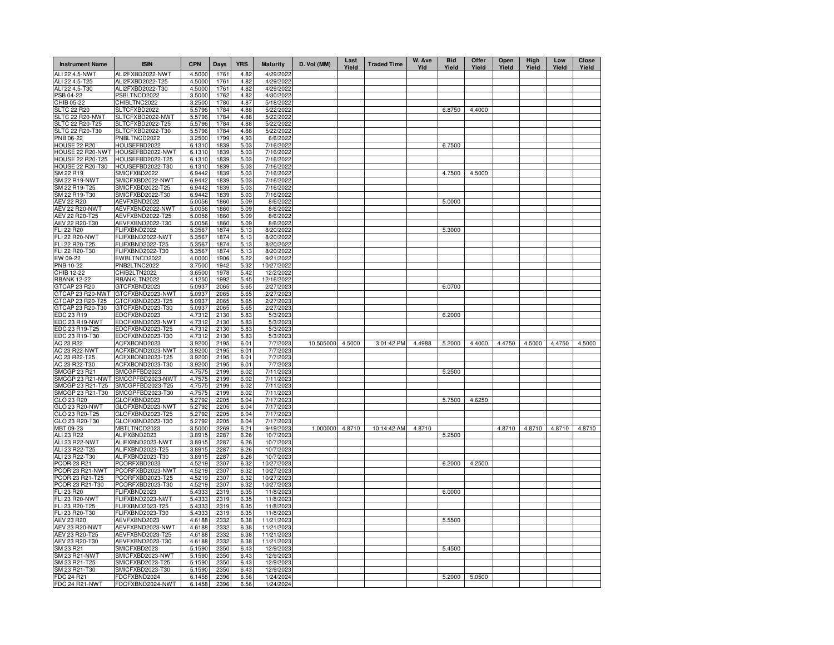| <b>Instrument Name</b>                  | <b>ISIN</b>                          | <b>CPN</b>       | Days         | <b>YRS</b>   | <b>Maturity</b>         | D. Vol (MM) | Last<br>Yield | <b>Traded Time</b> | W. Ave<br>Yld | <b>Bid</b><br>Yield | Offer<br>Yield | Open<br>Yield | High<br>Yield | Low<br>Yield | Close<br>Yield |
|-----------------------------------------|--------------------------------------|------------------|--------------|--------------|-------------------------|-------------|---------------|--------------------|---------------|---------------------|----------------|---------------|---------------|--------------|----------------|
| ALI 22 4.5-NWT                          | ALI2FXBD2022-NWT                     | 4.5000           | 1761         | 4.82         | 4/29/2022               |             |               |                    |               |                     |                |               |               |              |                |
| ALI 22 4.5-T25                          | ALI2FXBD2022-T25                     | 4.5000           | 1761         | 4.82         | 4/29/2022               |             |               |                    |               |                     |                |               |               |              |                |
| ALI 22 4.5-T30<br>PSB 04-22             | ALI2FXBD2022-T30<br>PSBLTNCD2022     | 4.5000<br>3.5000 | 1761<br>1762 | 4.82<br>4.82 | 4/29/2022<br>4/30/2022  |             |               |                    |               |                     |                |               |               |              |                |
| CHIB 05-22                              | CHIBLTNC2022                         | 3.2500           | 1780         | 4.87         | 5/18/2022               |             |               |                    |               |                     |                |               |               |              |                |
| <b>SLTC 22 R20</b>                      | SLTCFXBD2022                         | 5.5796           | 1784         | 4.88         | 5/22/2022               |             |               |                    |               | 6.8750              | 4.4000         |               |               |              |                |
| SLTC 22 R20-NWT                         | SLTCFXBD2022-NWT                     | 5.5796           | 1784         | 4.88         | 5/22/2022               |             |               |                    |               |                     |                |               |               |              |                |
| SLTC 22 R20-T25                         | SLTCFXBD2022-T25                     | 5.5796           | 1784         | 4.88         | 5/22/2022               |             |               |                    |               |                     |                |               |               |              |                |
| SLTC 22 R20-T30                         | SLTCFXBD2022-T30                     | 5.5796           | 1784         | 4.88         | 5/22/2022               |             |               |                    |               |                     |                |               |               |              |                |
| PNB 06-22                               | PNBLTNCD2022                         | 3.2500           | 1799         | 4.93         | 6/6/2022                |             |               |                    |               |                     |                |               |               |              |                |
| <b>HOUSE 22 R20</b><br>HOUSE 22 R20-NWT | HOUSEFBD2022<br>HOUSEFBD2022-NWT     | 6.1310           | 1839         | 5.03         | 7/16/2022<br>7/16/2022  |             |               |                    |               | 6.7500              |                |               |               |              |                |
| HOUSE 22 R20-T25                        | HOUSEFBD2022-T25                     | 6.1310<br>6.1310 | 1839<br>1839 | 5.03<br>5.03 | 7/16/2022               |             |               |                    |               |                     |                |               |               |              |                |
| <b>HOUSE 22 R20-T30</b>                 | HOUSEFBD2022-T30                     | 6.1310           | 1839         | 5.03         | 7/16/2022               |             |               |                    |               |                     |                |               |               |              |                |
| SM 22 R19                               | SMICFXBD2022                         | 6.9442           | 1839         | 5.03         | 7/16/2022               |             |               |                    |               | 4.7500              | 4.5000         |               |               |              |                |
| <b>SM 22 R19-NWT</b>                    | SMICFXBD2022-NWT                     | 6.9442           | 1839         | 5.03         | 7/16/2022               |             |               |                    |               |                     |                |               |               |              |                |
| SM 22 R19-T25                           | SMICFXBD2022-T25                     | 6.9442           | 1839         | 5.03         | 7/16/2022               |             |               |                    |               |                     |                |               |               |              |                |
| SM 22 R19-T30                           | SMICFXBD2022-T30                     | 6.9442           | 1839         | 5.03         | 7/16/2022               |             |               |                    |               |                     |                |               |               |              |                |
| <b>AEV 22 R20</b>                       | AEVFXBND2022                         | 5.0056           | 1860         | 5.09         | 8/6/2022                |             |               |                    |               | 5.0000              |                |               |               |              |                |
| AEV 22 R20-NWT<br>AEV 22 R20-T25        | AEVFXBND2022-NWT<br>AEVFXBND2022-T25 | 5.0056           | 1860<br>1860 | 5.09<br>5.09 | 8/6/2022<br>8/6/2022    |             |               |                    |               |                     |                |               |               |              |                |
| AEV 22 R20-T30                          | AEVFXBND2022-T30                     | 5.0056<br>5.0056 | 1860         | 5.09         | 8/6/2022                |             |               |                    |               |                     |                |               |               |              |                |
| FLI 22 R20                              | FLIFXBND2022                         | 5.3567           | 1874         | 5.13         | 8/20/2022               |             |               |                    |               | 5.3000              |                |               |               |              |                |
| FLI 22 R20-NWT                          | FLIFXBND2022-NWT                     | 5.3567           | 1874         | 5.13         | 8/20/2022               |             |               |                    |               |                     |                |               |               |              |                |
| FLI 22 R20-T25                          | FLIFXBND2022-T25                     | 5.3567           | 1874         | 5.13         | 8/20/2022               |             |               |                    |               |                     |                |               |               |              |                |
| FLI 22 R20-T30                          | FLIFXBND2022-T30                     | 5.3567           | 1874         | 5.13         | 8/20/2022               |             |               |                    |               |                     |                |               |               |              |                |
| EW 09-22                                | EWBLTNCD2022                         | 4.0000           | 1906         | 5.22         | 9/21/2022               |             |               |                    |               |                     |                |               |               |              |                |
| PNB 10-22                               | PNB2LTNC2022                         | 3.7500           | 1942         | 5.32         | 10/27/2022              |             |               |                    |               |                     |                |               |               |              |                |
| CHIB 12-22                              | CHIB2LTN2022                         | 3.6500           | 1978         | 5.42         | 12/2/2022               |             |               |                    |               |                     |                |               |               |              |                |
| <b>RBANK 12-22</b>                      | RBANKLTN2022                         | 4.1250           | 1992         | 5.45         | 12/16/2022              |             |               |                    |               |                     |                |               |               |              |                |
| GTCAP 23 R20<br>GTCAP 23 R20-NWT        | GTCFXBND2023<br>GTCFXBND2023-NWT     | 5.0937           | 2065<br>2065 | 5.65         | 2/27/2023<br>2/27/2023  |             |               |                    |               | 6.0700              |                |               |               |              |                |
| GTCAP 23 R20-T25                        | GTCFXBND2023-T25                     | 5.0937<br>5.0937 | 2065         | 5.65<br>5.65 | 2/27/2023               |             |               |                    |               |                     |                |               |               |              |                |
| GTCAP 23 R20-T30                        | GTCFXBND2023-T30                     | 5.0937           | 2065         | 5.65         | 2/27/2023               |             |               |                    |               |                     |                |               |               |              |                |
| EDC 23 R19                              | EDCFXBND2023                         | 4.7312           | 2130         | 5.83         | 5/3/2023                |             |               |                    |               | 6.2000              |                |               |               |              |                |
| EDC 23 R19-NWT                          | EDCFXBND2023-NWT                     | 4.7312           | 2130         | 5.83         | 5/3/2023                |             |               |                    |               |                     |                |               |               |              |                |
| EDC 23 R19-T25                          | EDCFXBND2023-T25                     | 4.7312           | 2130         | 5.83         | 5/3/2023                |             |               |                    |               |                     |                |               |               |              |                |
| EDC 23 R19-T30                          | EDCFXBND2023-T30                     | 4.7312           | 2130         | 5.83         | 5/3/2023                |             |               |                    |               |                     |                |               |               |              |                |
| AC 23 R22                               | ACFXBOND2023                         | 3.9200           | 2195         | 6.01         | 7/7/2023                | 10.505000   | 4.5000        | 3:01:42 PM         | 4.4988        | 5.2000              | 4.4000         | 4.4750        | 4.5000        | 4.4750       | 4.5000         |
| <b>AC 23 R22-NWT</b>                    | ACFXBOND2023-NWT                     | 3.9200           | 2195         | 6.01         | 7/7/2023                |             |               |                    |               |                     |                |               |               |              |                |
| AC 23 R22-T25<br>AC 23 R22-T30          | ACFXBOND2023-T25<br>ACFXBOND2023-T30 | 3.9200<br>3.9200 | 2195<br>2195 | 6.01<br>6.01 | 7/7/2023<br>7/7/2023    |             |               |                    |               |                     |                |               |               |              |                |
| <b>SMCGP 23 R21</b>                     | SMCGPFBD2023                         | 4.7575           | 2199         | 6.02         | 7/11/2023               |             |               |                    |               | 5.2500              |                |               |               |              |                |
| SMCGP 23 R21-NWT                        | SMCGPFBD2023-NWT                     | 4.7575           | 2199         | 6.02         | 7/11/2023               |             |               |                    |               |                     |                |               |               |              |                |
| SMCGP 23 R21-T25                        | SMCGPFBD2023-T25                     | 4.7575           | 2199         | 6.02         | 7/11/2023               |             |               |                    |               |                     |                |               |               |              |                |
| SMCGP 23 R21-T30                        | SMCGPFBD2023-T30                     | 4.7575           | 2199         | 6.02         | 7/11/2023               |             |               |                    |               |                     |                |               |               |              |                |
| GLO 23 R20                              | GLOFXBND2023                         | 5.2792           | 2205         | 6.04         | 7/17/2023               |             |               |                    |               | 5.7500              | 4.6250         |               |               |              |                |
| GLO 23 R20-NWT                          | GLOFXBND2023-NWT                     | 5.2792           | 2205         | 6.04         | 7/17/2023               |             |               |                    |               |                     |                |               |               |              |                |
| GLO 23 R20-T25                          | GLOFXBND2023-T25                     | 5.2792           | 2205         | 6.04         | 7/17/2023               |             |               |                    |               |                     |                |               |               |              |                |
| GLO 23 R20-T30<br>MBT 09-23             | GLOFXBND2023-T30<br>MBTLTNCD2023     | 5.2792<br>3.5000 | 2205<br>2269 | 6.04<br>6.21 | 7/17/2023<br>9/19/2023  | 1.000000    | 4.8710        | 10:14:42 AM        | 4.8710        |                     |                | 4.8710        | 4.8710        | 4.8710       | 4.8710         |
| ALI 23 R22                              | ALIFXBND2023                         | 3.8915           | 2287         | 6.26         | 10/7/2023               |             |               |                    |               | 5.2500              |                |               |               |              |                |
| ALI 23 R22-NWT                          | ALIFXBND2023-NWT                     | 3.8915           | 2287         | 6.26         | 10/7/2023               |             |               |                    |               |                     |                |               |               |              |                |
| ALI 23 R22-T25                          | ALIFXBND2023-T25                     | 3.8915           | 2287         | 6.26         | 10/7/2023               |             |               |                    |               |                     |                |               |               |              |                |
| ALI 23 R22-T30                          | ALIFXBND2023-T30                     | 3.8915           | 2287         | 6.26         | 10/7/2023               |             |               |                    |               |                     |                |               |               |              |                |
| PCOR 23 R21                             | PCORFXBD2023                         | 4.5219           | 2307         | 6.32         | 10/27/2023              |             |               |                    |               | 6.2000              | 4.2500         |               |               |              |                |
| PCOR 23 R21-NWT                         | PCORFXBD2023-NWT                     | 4.5219           | 2307         | 6.32         | 10/27/2023              |             |               |                    |               |                     |                |               |               |              |                |
| PCOR 23 R21-T25                         | PCORFXBD2023-T25                     | 4.5219           | 2307         | 6.32         | 10/27/2023              |             |               |                    |               |                     |                |               |               |              |                |
| PCOR 23 R21-T30                         | PCORFXBD2023-T30                     | 4.5219<br>5.4333 | 2307<br>2319 | 6.32         | 10/27/2023<br>11/8/2023 |             |               |                    |               |                     |                |               |               |              |                |
| FLI 23 R20<br>FLI 23 R20-NWT            | FLIFXBND2023<br>FLIFXBND2023-NWT     | 5.4333           | 2319         | 6.35<br>6.35 | 11/8/2023               |             |               |                    |               | 6.0000              |                |               |               |              |                |
| FLI 23 R20-T25                          | FLIFXBND2023-T25                     | 5.4333           | 2319         | 6.35         | 11/8/2023               |             |               |                    |               |                     |                |               |               |              |                |
| FLI 23 R20-T30                          | FLIFXBND2023-T30                     | 5.4333           | 2319         | 6.35         | 11/8/2023               |             |               |                    |               |                     |                |               |               |              |                |
| <b>AEV 23 R20</b>                       | AEVFXBND2023                         | 4.6188           | 2332         | 6.38         | 11/21/2023              |             |               |                    |               | 5.5500              |                |               |               |              |                |
| AEV 23 R20-NWT                          | AEVFXBND2023-NWT                     | 4.6188           | 2332         | 6.38         | 11/21/2023              |             |               |                    |               |                     |                |               |               |              |                |
| AEV 23 R20-T25                          | AEVFXBND2023-T25                     | 4.6188           | 2332         | 6.38         | 11/21/2023              |             |               |                    |               |                     |                |               |               |              |                |
| AEV 23 R20-T30                          | AEVFXBND2023-T30                     | 4.6188           | 2332         | 6.38         | 11/21/2023              |             |               |                    |               |                     |                |               |               |              |                |
| SM 23 R21                               | SMICFXBD2023                         | 5.1590           | 2350         | 6.43         | 12/9/2023               |             |               |                    |               | 5.4500              |                |               |               |              |                |
| SM 23 R21-NWT                           | SMICFXBD2023-NWT                     | 5.1590           | 2350         | 6.43         | 12/9/2023               |             |               |                    |               |                     |                |               |               |              |                |
| SM 23 R21-T25<br>SM 23 R21-T30          | SMICFXBD2023-T25<br>SMICFXBD2023-T30 | 5.1590<br>5.1590 | 2350<br>2350 | 6.43<br>6.43 | 12/9/2023<br>12/9/2023  |             |               |                    |               |                     |                |               |               |              |                |
| FDC 24 R21                              | FDCFXBND2024                         | 6.1458           | 2396         | 6.56         | 1/24/2024               |             |               |                    |               | 5.2000              | 5.0500         |               |               |              |                |
| <b>FDC 24 R21-NWT</b>                   | FDCFXBND2024-NWT                     | 6.1458           | 2396         | 6.56         | 1/24/2024               |             |               |                    |               |                     |                |               |               |              |                |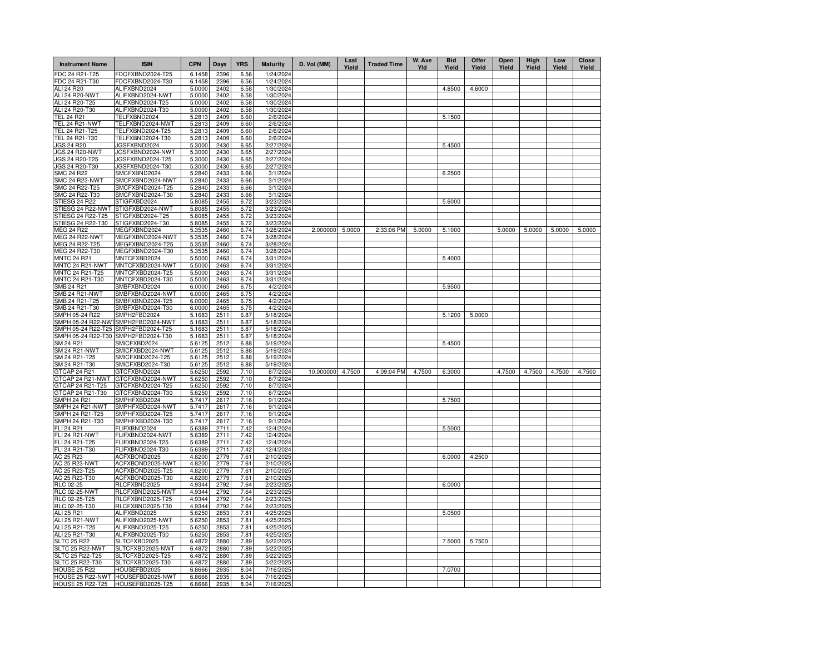| <b>Instrument Name</b>                  | <b>ISIN</b>                          | <b>CPN</b>       | Days         | <b>YRS</b>   | <b>Maturity</b>        | D. Vol (MM)      | Last<br>Yield | <b>Traded Time</b> | W. Ave<br>Yld | <b>Bid</b><br>Yield | Offer<br>Yield | Open<br>Yield | High<br>Yield | Low<br>Yield | <b>Close</b><br>Yield |
|-----------------------------------------|--------------------------------------|------------------|--------------|--------------|------------------------|------------------|---------------|--------------------|---------------|---------------------|----------------|---------------|---------------|--------------|-----------------------|
| FDC 24 R21-T25                          | DCFXBND2024-T25                      | 6.1458           | 2396         | 6.56         | 1/24/2024              |                  |               |                    |               |                     |                |               |               |              |                       |
| FDC 24 R21-T30                          | FDCFXBND2024-T30                     | 6.1458           | 2396         | 6.56         | 1/24/2024              |                  |               |                    |               |                     |                |               |               |              |                       |
| ALI 24 R20                              | ALIFXBND2024                         | 5.0000           | 2402         | 6.58         | 1/30/2024              |                  |               |                    |               | 4.8500              | 4.6000         |               |               |              |                       |
| ALI 24 R20-NWT                          | ALIFXBND2024-NWT                     | 5.0000           | 2402         | 6.58         | 1/30/2024              |                  |               |                    |               |                     |                |               |               |              |                       |
| ALI 24 R20-T25<br>ALI 24 R20-T30        | ALIFXBND2024-T25<br>ALIFXBND2024-T30 | 5.0000           | 2402<br>2402 | 6.58<br>6.58 | 1/30/2024              |                  |               |                    |               |                     |                |               |               |              |                       |
| <b>TEL 24 R21</b>                       | TELFXBND2024                         | 5.0000<br>5.2813 | 2409         | 6.60         | 1/30/2024<br>2/6/2024  |                  |               |                    |               | 5.1500              |                |               |               |              |                       |
| TEL 24 R21-NWT                          | TELFXBND2024-NWT                     | 5.2813           | 2409         | 6.60         | 2/6/2024               |                  |               |                    |               |                     |                |               |               |              |                       |
| TEL 24 R21-T25                          | TELFXBND2024-T25                     | 5.2813           | 2409         | 6.60         | 2/6/2024               |                  |               |                    |               |                     |                |               |               |              |                       |
| TEL 24 R21-T30                          | TELFXBND2024-T30                     | 5.2813           | 2409         | 6.60         | 2/6/2024               |                  |               |                    |               |                     |                |               |               |              |                       |
| JGS 24 R20                              | JGSFXBND2024                         | 5.3000           | 2430         | 6.65         | 2/27/2024              |                  |               |                    |               | 5.4500              |                |               |               |              |                       |
| JGS 24 R20-NWT                          | JGSFXBND2024-NWT                     | 5.3000           | 2430         | 6.65         | 2/27/2024              |                  |               |                    |               |                     |                |               |               |              |                       |
| JGS 24 R20-T25                          | JGSFXBND2024-T25                     | 5.3000           | 2430         | 6.65         | 2/27/2024              |                  |               |                    |               |                     |                |               |               |              |                       |
| JGS 24 R20-T30                          | JGSFXBND2024-T30                     | 5.3000           | 2430         | 6.65         | 2/27/2024              |                  |               |                    |               |                     |                |               |               |              |                       |
| <b>SMC 24 R22</b>                       | SMCFXBND2024                         | 5.2840           | 2433         | 6.66         | 3/1/2024               |                  |               |                    |               | 6.2500              |                |               |               |              |                       |
| <b>SMC 24 R22-NWT</b><br>SMC 24 R22-T25 | SMCFXBND2024-NWT<br>SMCFXBND2024-T25 | 5.2840           | 2433         | 6.66         | 3/1/2024               |                  |               |                    |               |                     |                |               |               |              |                       |
| SMC 24 R22-T30                          | SMCFXBND2024-T30                     | 5.2840<br>5.2840 | 2433<br>2433 | 6.66<br>6.66 | 3/1/2024<br>3/1/2024   |                  |               |                    |               |                     |                |               |               |              |                       |
| STIESG 24 R22                           | STIGFXBD2024                         | 5.8085           | 2455         | 6.72         | 3/23/2024              |                  |               |                    |               | 5.6000              |                |               |               |              |                       |
| STIESG 24 R22-NWT                       | STIGFXBD2024-NWT                     | 5.8085           | 2455         | 6.72         | 3/23/2024              |                  |               |                    |               |                     |                |               |               |              |                       |
| STIESG 24 R22-T25                       | STIGFXBD2024-T25                     | 5.8085           | 2455         | 6.72         | 3/23/2024              |                  |               |                    |               |                     |                |               |               |              |                       |
| STIESG 24 R22-T30                       | STIGFXBD2024-T30                     | 5.8085           | 2455         | 6.72         | 3/23/2024              |                  |               |                    |               |                     |                |               |               |              |                       |
| <b>MEG 24 R22</b>                       | MEGFXBND2024                         | 5.3535           | 2460         | 6.74         | 3/28/2024              | 2.000000         | 5.0000        | 2:33:06 PM         | 5.0000        | 5.1000              |                | 5.0000        | 5.0000        | 5.0000       | 5.0000                |
| <b>MEG 24 R22-NWT</b>                   | MEGFXBND2024-NWT                     | 5.3535           | 2460         | 6.74         | 3/28/2024              |                  |               |                    |               |                     |                |               |               |              |                       |
| MEG 24 R22-T25                          | MEGFXBND2024-T25                     | 5.3535           | 2460         | 6.74         | 3/28/2024              |                  |               |                    |               |                     |                |               |               |              |                       |
| MEG 24 R22-T30                          | MEGFXBND2024-T30                     | 5.3535           | 2460         | 6.74         | 3/28/2024              |                  |               |                    |               |                     |                |               |               |              |                       |
| <b>MNTC 24 R21</b>                      | MNTCFXBD2024                         | 5.5000           | 2463         | 6.74         | 3/31/2024              |                  |               |                    |               | 5.4000              |                |               |               |              |                       |
| MNTC 24 R21-NWT<br>MNTC 24 R21-T25      | MNTCFXBD2024-NWT<br>MNTCFXBD2024-T25 | 5.5000<br>5.5000 | 2463<br>2463 | 6.74<br>6.74 | 3/31/2024<br>3/31/2024 |                  |               |                    |               |                     |                |               |               |              |                       |
| MNTC 24 R21-T30                         | MNTCFXBD2024-T30                     | 5.5000           | 2463         | 6.74         | 3/31/2024              |                  |               |                    |               |                     |                |               |               |              |                       |
| SMB 24 R21                              | SMBFXBND2024                         | 6.0000           | 2465         | 6.75         | 4/2/2024               |                  |               |                    |               | 5.9500              |                |               |               |              |                       |
| <b>SMB 24 R21-NWT</b>                   | SMBFXBND2024-NWT                     | 6.0000           | 2465         | 6.75         | 4/2/2024               |                  |               |                    |               |                     |                |               |               |              |                       |
| SMB 24 R21-T25                          | SMBFXBND2024-T25                     | 6.0000           | 2465         | 6.75         | 4/2/2024               |                  |               |                    |               |                     |                |               |               |              |                       |
| SMB 24 R21-T30                          | SMBFXBND2024-T30                     | 6.0000           | 2465         | 6.75         | 4/2/2024               |                  |               |                    |               |                     |                |               |               |              |                       |
| SMPH 05-24 R22                          | SMPH2FBD2024                         | 5.1683           | 2511         | 6.87         | 5/18/2024              |                  |               |                    |               | 5.1200              | 5.0000         |               |               |              |                       |
| SMPH 05-24 R22-NWT                      | SMPH2FBD2024-NWT                     | 5.1683           | 2511         | 6.87         | 5/18/2024              |                  |               |                    |               |                     |                |               |               |              |                       |
| SMPH 05-24 R22-T25                      | SMPH2FBD2024-T25                     | 5.1683           | 2511         | 6.87         | 5/18/2024              |                  |               |                    |               |                     |                |               |               |              |                       |
| SMPH 05-24 R22-T30<br>SM 24 R21         | SMPH2FBD2024-T30<br>SMICFXBD2024     | 5.1683<br>5.6125 | 2511<br>2512 | 6.87<br>6.88 | 5/18/2024<br>5/19/2024 |                  |               |                    |               | 5.4500              |                |               |               |              |                       |
| <b>SM 24 R21-NWT</b>                    | SMICFXBD2024-NWT                     | 5.6125           | 2512         | 6.88         | 5/19/2024              |                  |               |                    |               |                     |                |               |               |              |                       |
| SM 24 R21-T25                           | SMICFXBD2024-T25                     | 5.6125           | 2512         | 6.88         | 5/19/2024              |                  |               |                    |               |                     |                |               |               |              |                       |
| SM 24 R21-T30                           | SMICFXBD2024-T30                     | 5.6125           | 2512         | 6.88         | 5/19/2024              |                  |               |                    |               |                     |                |               |               |              |                       |
| GTCAP 24 R21                            | GTCFXBND2024                         | 5.6250           | 259          | 7.10         | 8/7/2024               | 10.000000 4.7500 |               | 4:09:04 PM         | 4.7500        | 6.3000              |                | 4.7500        | 4.7500        | 4.7500       | 4.7500                |
| GTCAP 24 R21-NWT                        | GTCFXBND2024-NWT                     | 5.6250           | 2592         | 7.10         | 8/7/2024               |                  |               |                    |               |                     |                |               |               |              |                       |
| GTCAP 24 R21-T25                        | GTCFXBND2024-T25                     | 5.6250           | 2592         | 7.10         | 8/7/2024               |                  |               |                    |               |                     |                |               |               |              |                       |
| GTCAP 24 R21-T30                        | GTCFXBND2024-T30                     | 5.6250           | 2592         | 7.10         | 8/7/2024               |                  |               |                    |               |                     |                |               |               |              |                       |
| <b>SMPH 24 R21</b><br>SMPH 24 R21-NWT   | SMPHFXBD2024<br>SMPHFXBD2024-NWT     | 5.7417<br>5.7417 | 2617<br>2617 | 7.16<br>7.16 | 9/1/2024<br>9/1/2024   |                  |               |                    |               | 5.7500              |                |               |               |              |                       |
| SMPH 24 R21-T25                         | SMPHFXBD2024-T25                     | 5.7417           | 2617         | 7.16         | 9/1/2024               |                  |               |                    |               |                     |                |               |               |              |                       |
| SMPH 24 R21-T30                         | SMPHFXBD2024-T30                     | 5.7417           | 2617         | 7.16         | 9/1/2024               |                  |               |                    |               |                     |                |               |               |              |                       |
| <b>FLI 24 R21</b>                       | FLIFXBND2024                         | 5.6389           | 2711         | 7.42         | 12/4/2024              |                  |               |                    |               | 5.5000              |                |               |               |              |                       |
| <b>FLI 24 R21-NWT</b>                   | FLIFXBND2024-NWT                     | 5.6389           | 2711         | 7.42         | 12/4/2024              |                  |               |                    |               |                     |                |               |               |              |                       |
| FLI 24 R21-T25                          | FLIFXBND2024-T25                     | 5.6389           | 2711         | 7.42         | 12/4/2024              |                  |               |                    |               |                     |                |               |               |              |                       |
| FLI 24 R21-T30                          | FLIFXBND2024-T30                     | 5.6389           | 2711         | 7.42         | 12/4/2024              |                  |               |                    |               |                     |                |               |               |              |                       |
| AC 25 R23                               | ACFXBOND2025                         | 4.8200           | 2779         | 7.61         | 2/10/2025              |                  |               |                    |               | 6.0000              | 4.2500         |               |               |              |                       |
| AC 25 R23-NWT                           | ACFXBOND2025-NWT                     | 4.8200           | 2779         | 7.61         | 2/10/2025              |                  |               |                    |               |                     |                |               |               |              |                       |
| AC 25 R23-T25                           | ACFXBOND2025-T25                     | 4.8200           | 2779         | 7.61         | 2/10/2025              |                  |               |                    |               |                     |                |               |               |              |                       |
| AC 25 R23-T30<br>RLC 02-25              | ACFXBOND2025-T30<br>RLCFXBND2025     | 4.8200<br>4.9344 | 2779<br>2792 | 7.61<br>7.64 | 2/10/2025<br>2/23/2025 |                  |               |                    |               | 6.0000              |                |               |               |              |                       |
| <b>RLC 02-25-NWT</b>                    | RLCFXBND2025-NWT                     | 4.9344           | 2792         | 7.64         | 2/23/2025              |                  |               |                    |               |                     |                |               |               |              |                       |
| RLC 02-25-T25                           | RLCFXBND2025-T25                     | 4.9344           | 2792         | 7.64         | 2/23/2025              |                  |               |                    |               |                     |                |               |               |              |                       |
| RLC 02-25-T30                           | RLCFXBND2025-T30                     | 4.9344           | 2792         | 7.64         | 2/23/2025              |                  |               |                    |               |                     |                |               |               |              |                       |
| ALI 25 R21                              | ALIFXBND2025                         | 5.6250           | 2853         | 7.81         | 4/25/2025              |                  |               |                    |               | 5.0500              |                |               |               |              |                       |
| ALI 25 R21-NWT                          | ALIFXBND2025-NWT                     | 5.6250           | 2853         | 7.81         | 4/25/2025              |                  |               |                    |               |                     |                |               |               |              |                       |
| ALI 25 R21-T25                          | ALIFXBND2025-T25                     | 5.6250           | 2853         | 7.81         | 4/25/2025              |                  |               |                    |               |                     |                |               |               |              |                       |
| ALI 25 R21-T30                          | ALIFXBND2025-T30                     | 5.6250           | 2853         | 7.81         | 4/25/2025              |                  |               |                    |               |                     |                |               |               |              |                       |
| <b>SLTC 25 R22</b>                      | SLTCFXBD2025                         | 6.4872           | 2880         | 7.89         | 5/22/2025              |                  |               |                    |               | 7.5000              | 5.7500         |               |               |              |                       |
| SLTC 25 R22-NWT                         | SLTCFXBD2025-NWT                     | 6.4872           | 2880         | 7.89         | 5/22/2025              |                  |               |                    |               |                     |                |               |               |              |                       |
| SLTC 25 R22-T25<br>SLTC 25 R22-T30      | SLTCFXBD2025-T25<br>SLTCFXBD2025-T30 | 6.4872<br>6.4872 | 2880<br>2880 | 7.89<br>7.89 | 5/22/2025<br>5/22/2025 |                  |               |                    |               |                     |                |               |               |              |                       |
| <b>HOUSE 25 R22</b>                     | HOUSEFBD2025                         | 6.8666           | 2935         | 8.04         | 7/16/2025              |                  |               |                    |               | 7.0700              |                |               |               |              |                       |
| HOUSE 25 R22-NWT                        | HOUSEFBD2025-NWT                     | 6.8666           | 2935         | 8.04         | 7/16/2025              |                  |               |                    |               |                     |                |               |               |              |                       |
| <b>HOUSE 25 R22-T25</b>                 | HOUSEFBD2025-T25                     | 6.8666           | 2935         | 8.04         | 7/16/2025              |                  |               |                    |               |                     |                |               |               |              |                       |